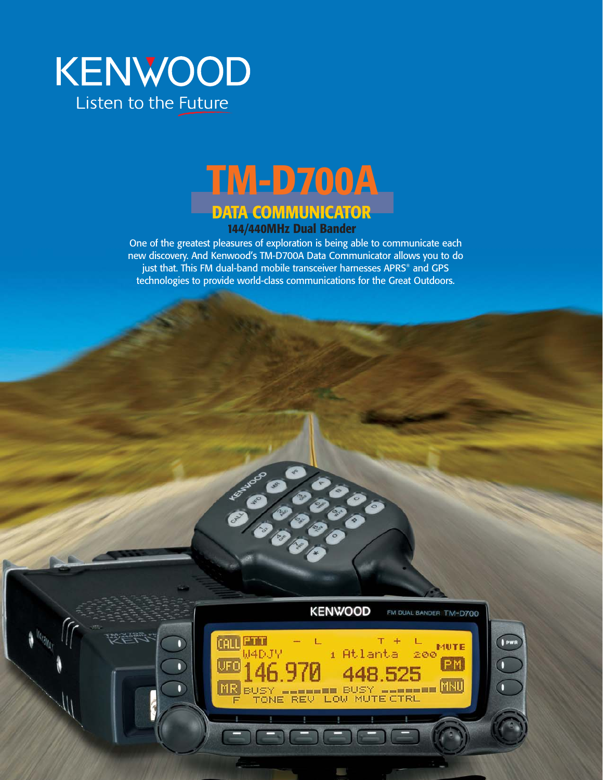



One of the greatest pleasures of exploration is being able to communicate each new discovery. And Kenwood's TM-D700A Data Communicator allows you to do just that. This FM dual-band mobile transceiver harnesses APRS® and GPS technologies to provide world-class communications for the Great Outdoors.

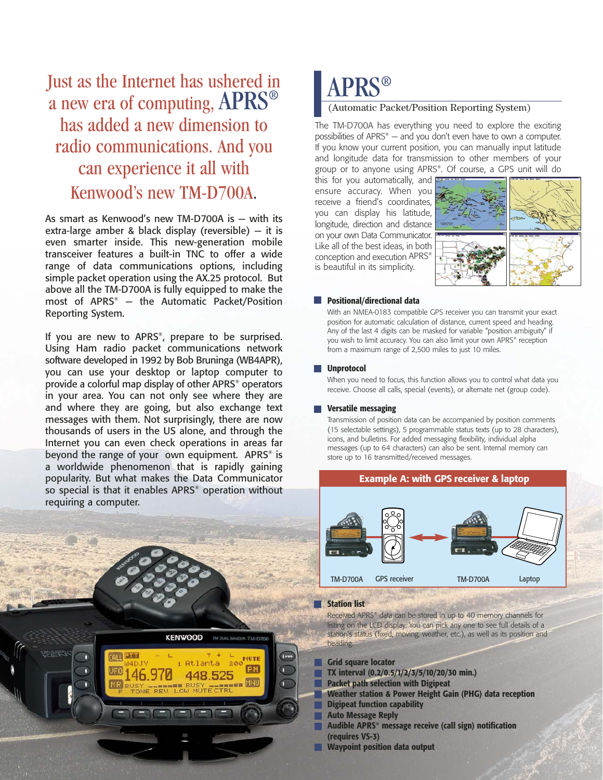## Just as the Internet has ushered in  $APRS^®$ a new era of computing, APRS® has added a new dimension to radio communications. And you can experience it all with Kenwood's new TM-D700A.

As smart as Kenwood's new TM-D700A is — with its extra-large amber & black display (reversible) — it is even smarter inside. This new-generation mobile transceiver features a built-in TNC to offer a wide range of data communications options, including simple packet operation using the AX.25 protocol. But above all the TM-D700A is fully equipped to make the most of APRS® — the Automatic Packet/Position Reporting System.

If you are new to APRS®, prepare to be surprised. Using Ham radio packet communications network software developed in 1992 by Bob Bruninga (WB4APR), you can use your desktop or laptop computer to provide a colorful map display of other APRS® operators in your area. You can not only see where they are and where they are going, but also exchange text messages with them. Not surprisingly, there are now thousands of users in the US alone, and through the Internet you can even check operations in areas far beyond the range of your own equipment. APRS® is a worldwide phenomenon that is rapidly gaining popularity. But what makes the Data Communicator so special is that it enables APRS® operation without requiring a computer.

**KENWOOD** 

**CALL ETTI** 

UFO

 $MR$ 

O

n

FM DUAL BANDER TM-D700

**FIUTE** PM

### (Automatic Packet/Position Reporting System)

The TM-D700A has everything you need to explore the exciting possibilities of APRS® — and you don't even have to own a computer. If you know your current position, you can manually input latitude and longitude data for transmission to other members of your group or to anyone using APRS®. Of course, a GPS unit will do

this for you automatically, and ensure accuracy. When you receive a friend's coordinates, you can display his latitude, longitude, direction and distance on your own Data Communicator. Like all of the best ideas, in both conception and execution APRS® is beautiful in its simplicity.



#### **Positional/directional data** L.

With an NMEA-0183 compatible GPS receiver you can transmit your exact position for automatic calculation of distance, current speed and heading. Any of the last 4 digits can be masked for variable "position ambiguity" if you wish to limit accuracy. You can also limit your own APRS® reception from a maximum range of 2,500 miles to just 10 miles.

#### **Unprotocol**

When you need to focus, this function allows you to control what data you receive. Choose all calls, special (events), or alternate net (group code).

### **Versatile messaging**

Transmission of position data can be accompanied by position comments (15 selectable settings), 5 programmable status texts (up to 28 characters), icons, and bulletins. For added messaging flexibility, individual alpha messages (up to 64 characters) can also be sent. Internal memory can store up to 16 transmitted/received messages.

### **Example A: with GPS receiver & laptop**



#### **Station list**

Received APRS® data can be stored in up to 40 memory channels for listing on the LCD display. You can pick any one to see full details of a station's status (fixed, moving, weather, etc.), as well as its position and heading.

- **Grid square locator** 
	- **TX interval (0.2/0.5/1/2/3/5/10/20/30 min.)**
	- **Packet path selection with Digipeat**
	- **Weather station & Power Height Gain (PHG) data reception**
	- **Digipeat function capability**
- **Auto Message Reply**
- **Audible APRS® message receive (call sign) notification (requires VS-3)**
- **Waypoint position data output**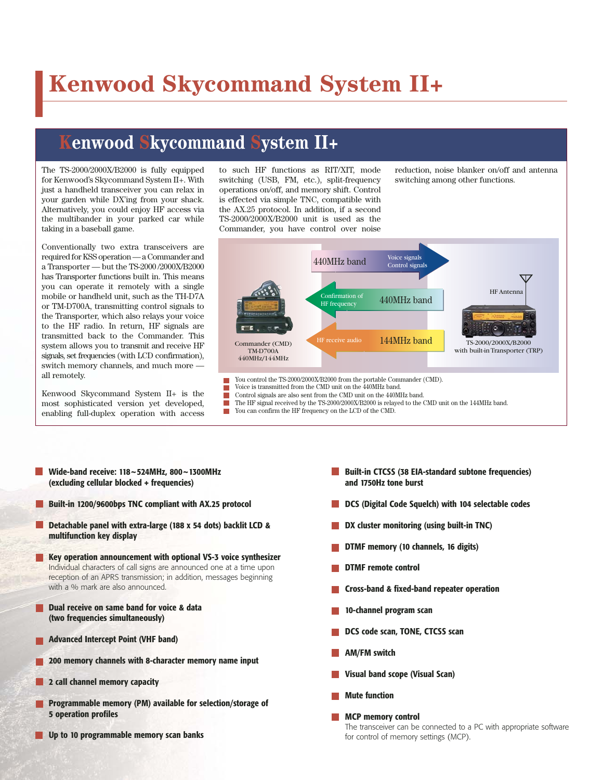# **Kenwood Skycommand System II+**

## **Kenwood Skycommand System II+**

The TS-2000/2000X/B2000 is fully equipped for Kenwood's Skycommand System II+. With just a handheld transceiver you can relax in your garden while DX'ing from your shack. Alternatively, you could enjoy HF access via the multibander in your parked car while taking in a baseball game.

Conventionally two extra transceivers are required for KSS operation — a Commander and a Transporter — but the TS-2000 /2000X/B2000 has Transporter functions built in. This means you can operate it remotely with a single mobile or handheld unit, such as the TH-D7A or TM-D700A, transmitting control signals to the Transporter, which also relays your voice to the HF radio. In return, HF signals are transmitted back to the Commander. This system allows you to transmit and receive HF signals, set frequencies (with LCD confirmation), switch memory channels, and much more all remotely.

Kenwood Skycommand System II+ is the most sophisticated version yet developed, enabling full-duplex operation with access to such HF functions as RIT/XIT, mode switching (USB, FM, etc.), split-frequency operations on/off, and memory shift. Control is effected via simple TNC, compatible with the AX.25 protocol. In addition, if a second TS-2000/2000X/B2000 unit is used as the Commander, you have control over noise reduction, noise blanker on/off and antenna switching among other functions.



Control signals are also sent from the CMD unit on the 440MHz band. The HF signal received by the TS-2000/2000X/B2000 is relayed to the CMD unit on the 144MHz band. You can confirm the HF frequency on the LCD of the CMD. m.

- **Wide-band receive: 118~524MHz, 800~1300MHz (excluding cellular blocked + frequencies)**
- **Built-in 1200/9600bps TNC compliant with AX.25 protocol**
- **Detachable panel with extra-large (188 x 54 dots) backlit LCD & multifunction key display**
- **Key operation announcement with optional VS-3 voice synthesizer** Individual characters of call signs are announced one at a time upon reception of an APRS transmission; in addition, messages beginning with a % mark are also announced.
- **Dual receive on same band for voice & data (two frequencies simultaneously)**
- **Advanced Intercept Point (VHF band)**
- **200 memory channels with 8-character memory name input**
- **2 call channel memory capacity**
- **Programmable memory (PM) available for selection/storage of 5 operation profiles**
- **Up to 10 programmable memory scan banks**
- **Built-in CTCSS (38 EIA-standard subtone frequencies) and 1750Hz tone burst**
- **DCS (Digital Code Squelch) with 104 selectable codes**
- **DX cluster monitoring (using built-in TNC)**
- **DTMF memory (10 channels, 16 digits)**
- **DTMF remote control**
- **Cross-band & fixed-band repeater operation**
- **10-channel program scan**
- **DCS code scan, TONE, CTCSS scan**
- **AM/FM switch**
- **Visual band scope (Visual Scan)**
- **Mute function**
- **MCP memory control** The transceiver can be connected to a PC with appropriate software for control of memory settings (MCP).